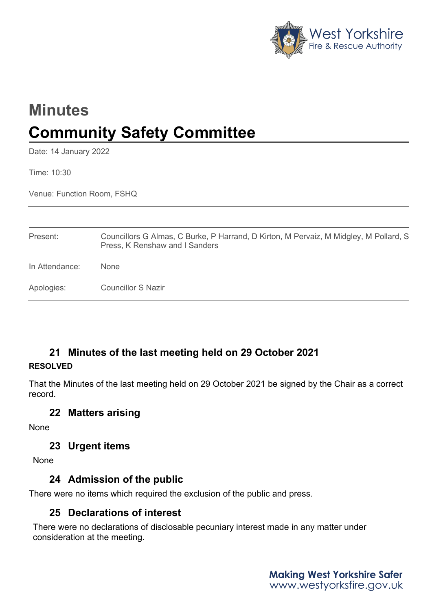

# **Minutes Community Safety Committee**

Date: 14 January 2022

Time: 10:30

Venue: Function Room, FSHQ

| Present:       | Councillors G Almas, C Burke, P Harrand, D Kirton, M Pervaiz, M Midgley, M Pollard, S<br>Press, K Renshaw and I Sanders |
|----------------|-------------------------------------------------------------------------------------------------------------------------|
| In Attendance: | <b>None</b>                                                                                                             |
| Apologies:     | Councillor S Nazir                                                                                                      |

# **21 Minutes of the last meeting held on 29 October 2021**

#### **RESOLVED**

That the Minutes of the last meeting held on 29 October 2021 be signed by the Chair as a correct record.

## **22 Matters arising**

None

### **23 Urgent items**

None

# **24 Admission of the public**

There were no items which required the exclusion of the public and press.

# **25 Declarations of interest**

There were no declarations of disclosable pecuniary interest made in any matter under consideration at the meeting.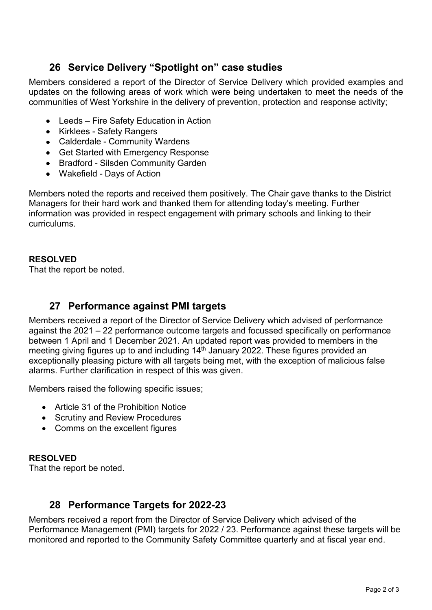# **26 Service Delivery "Spotlight on" case studies**

Members considered a report of the Director of Service Delivery which provided examples and updates on the following areas of work which were being undertaken to meet the needs of the communities of West Yorkshire in the delivery of prevention, protection and response activity;

- Leeds Fire Safety Education in Action
- Kirklees Safety Rangers
- Calderdale Community Wardens
- Get Started with Emergency Response
- Bradford Silsden Community Garden
- Wakefield Days of Action

Members noted the reports and received them positively. The Chair gave thanks to the District Managers for their hard work and thanked them for attending today's meeting. Further information was provided in respect engagement with primary schools and linking to their curriculums.

#### **RESOLVED**

That the report be noted.

## **27 Performance against PMI targets**

Members received a report of the Director of Service Delivery which advised of performance against the 2021 – 22 performance outcome targets and focussed specifically on performance between 1 April and 1 December 2021. An updated report was provided to members in the meeting giving figures up to and including 14<sup>th</sup> January 2022. These figures provided an exceptionally pleasing picture with all targets being met, with the exception of malicious false alarms. Further clarification in respect of this was given.

Members raised the following specific issues;

- Article 31 of the Prohibition Notice
- Scrutiny and Review Procedures
- Comms on the excellent figures

#### **RESOLVED**

That the report be noted.

# **28 Performance Targets for 2022-23**

Members received a report from the Director of Service Delivery which advised of the Performance Management (PMI) targets for 2022 / 23. Performance against these targets will be monitored and reported to the Community Safety Committee quarterly and at fiscal year end.